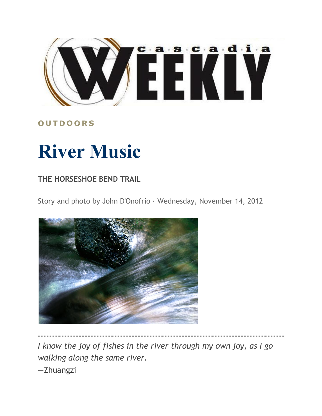

## **O U T D O O R S**

## **River Music**

## **THE HORSESHOE BEND TRAIL**

Story and photo by John D'Onofrio · Wednesday, November 14, 2012



*I know the joy of fishes in the river through my own joy, as I go walking along the same river.* —Zhuangzi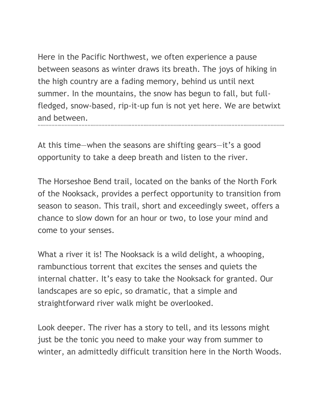Here in the Pacific Northwest, we often experience a pause between seasons as winter draws its breath. The joys of hiking in the high country are a fading memory, behind us until next summer. In the mountains, the snow has begun to fall, but fullfledged, snow-based, rip-it-up fun is not yet here. We are betwixt and between.

At this time—when the seasons are shifting gears—it's a good opportunity to take a deep breath and listen to the river.

The Horseshoe Bend trail, located on the banks of the North Fork of the Nooksack, provides a perfect opportunity to transition from season to season. This trail, short and exceedingly sweet, offers a chance to slow down for an hour or two, to lose your mind and come to your senses.

What a river it is! The Nooksack is a wild delight, a whooping, rambunctious torrent that excites the senses and quiets the internal chatter. It's easy to take the Nooksack for granted. Our landscapes are so epic, so dramatic, that a simple and straightforward river walk might be overlooked.

Look deeper. The river has a story to tell, and its lessons might just be the tonic you need to make your way from summer to winter, an admittedly difficult transition here in the North Woods.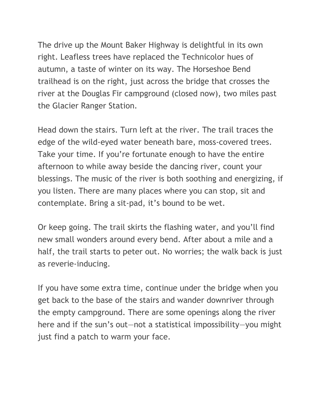The drive up the Mount Baker Highway is delightful in its own right. Leafless trees have replaced the Technicolor hues of autumn, a taste of winter on its way. The Horseshoe Bend trailhead is on the right, just across the bridge that crosses the river at the Douglas Fir campground (closed now), two miles past the Glacier Ranger Station.

Head down the stairs. Turn left at the river. The trail traces the edge of the wild-eyed water beneath bare, moss-covered trees. Take your time. If you're fortunate enough to have the entire afternoon to while away beside the dancing river, count your blessings. The music of the river is both soothing and energizing, if you listen. There are many places where you can stop, sit and contemplate. Bring a sit-pad, it's bound to be wet.

Or keep going. The trail skirts the flashing water, and you'll find new small wonders around every bend. After about a mile and a half, the trail starts to peter out. No worries; the walk back is just as reverie-inducing.

If you have some extra time, continue under the bridge when you get back to the base of the stairs and wander downriver through the empty campground. There are some openings along the river here and if the sun's out—not a statistical impossibility—you might just find a patch to warm your face.